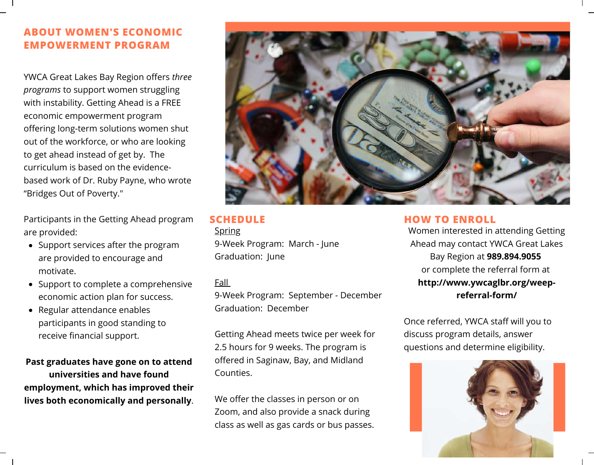### **ABOUT WOMEN'S ECONOMIC EMPOWERMENT PROGRAM**

YWCA Great Lakes Bay Region offers *three programs* to support women struggling with instability. Getting Ahead is a FREE economic empowerment program offering long-term solutions women shut out of the workforce, or who are looking to get ahead instead of get by. The curriculum is based on the evidencebased work of Dr. Ruby Payne, who wrote "Bridges Out of Poverty."

Participants in the Getting Ahead program are provided:

- Support services after the program are provided to encourage and motivate.
- Support to complete a comprehensive economic action plan for success.
- Regular attendance enables participants in good standing to receive financial support.

**Past graduates have gone on to attend universities and have found employment, which has improved their lives both economically and personally**.



# **Spring**

9-Week Program: March - June Graduation: June

#### Fall

9-Week Program: September - December Graduation: December

Getting Ahead meets twice per week for 2.5 hours for 9 weeks. The program is offered in Saginaw, Bay, and Midland Counties.

We offer the classes in person or on Zoom, and also provide a snack during class as well as gas cards or bus passes.

#### **SCHEDULE HOW TO ENROLL**

Women interested in attending Getting Ahead may contact YWCA Great Lakes Bay Region at **989.894.9055** or complete the referral form at **http://www.ywcaglbr.org/weepreferral-form/**

Once referred, YWCA staff will you to discuss program details, answer questions and determine eligibility.